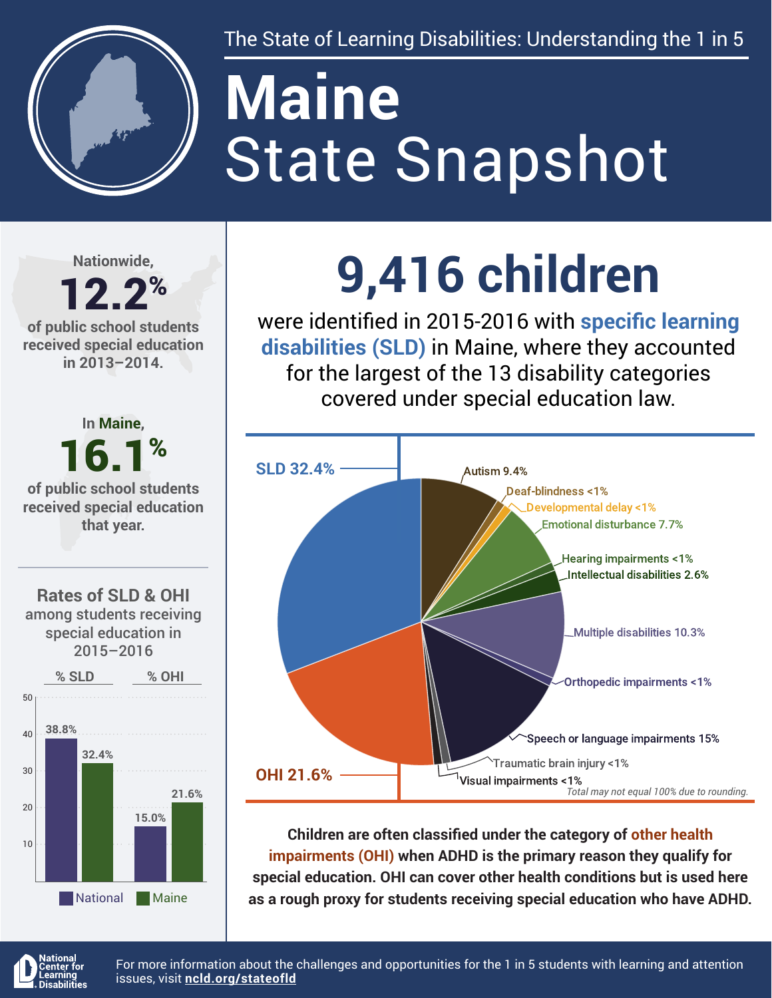

The State of Learning Disabilities: Understanding the 1 in 5

# State Snapshot **Maine**

**Nationwide,**

#### 12.2% **of public school students received special education in 2013–2014.**



## **9,416 children**

were identified in 2015-2016 with **specific learning disabilities (SLD)** in Maine, where they accounted for the largest of the 13 disability categories covered under special education law.



**Children are often classified under the category of other health impairments (OHI) when ADHD is the primary reason they qualify for special education. OHI can cover other health conditions but is used here as a rough proxy for students receiving special education who have ADHD.**



For more information about the challenges and opportunities for the 1 in 5 students with learning and attention issues, visit **[ncld.org/stateofld](http://ncld.org/stateofld)**